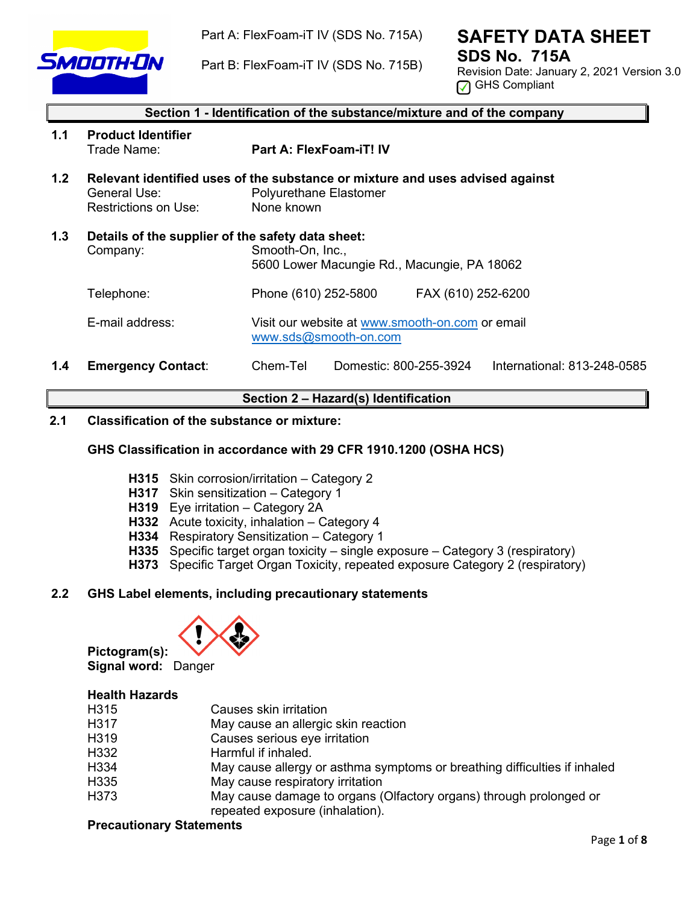

Part A: FlexFoam-iT IV (SDS No. 715A)

Part B: FlexFoam-iT IV (SDS No. 715B)

# **SAFETY DATA SHEET SDS No. 715A**

Revision Date: January 2, 2021 Version 3.0 **<u>** $\sqrt{ }$ </u> GHS Compliant

|                  | Section 1 - Identification of the substance/mixture and of the company |                                                                                                                              |  |  |
|------------------|------------------------------------------------------------------------|------------------------------------------------------------------------------------------------------------------------------|--|--|
| 1.1              | <b>Product Identifier</b><br>Trade Name:                               | Part A: FlexFoam-iT! IV                                                                                                      |  |  |
| 1.2 <sub>2</sub> | General Use:<br><b>Restrictions on Use:</b>                            | Relevant identified uses of the substance or mixture and uses advised against<br><b>Polyurethane Elastomer</b><br>None known |  |  |
| 1.3              | Details of the supplier of the safety data sheet:<br>Company:          | Smooth-On, Inc.,<br>5600 Lower Macungie Rd., Macungie, PA 18062                                                              |  |  |
|                  | Telephone:                                                             | FAX (610) 252-6200<br>Phone (610) 252-5800                                                                                   |  |  |
|                  | E-mail address:                                                        | Visit our website at www.smooth-on.com or email<br>www.sds@smooth-on.com                                                     |  |  |
| 1.4              | <b>Emergency Contact:</b>                                              | Chem-Tel<br>International: 813-248-0585<br>Domestic: 800-255-3924                                                            |  |  |

# **Section 2 – Hazard(s) Identification**

# **2.1 Classification of the substance or mixture:**

# **GHS Classification in accordance with 29 CFR 1910.1200 (OSHA HCS)**

- **H315** Skin corrosion/irritation Category 2
- **H317** Skin sensitization Category 1
- **H319** Eye irritation Category 2A
- **H332** Acute toxicity, inhalation Category 4
- **H334** Respiratory Sensitization Category 1
- **H335** Specific target organ toxicity single exposure Category 3 (respiratory)
- **H373** Specific Target Organ Toxicity, repeated exposure Category 2 (respiratory)

# **2.2 GHS Label elements, including precautionary statements**



**Pictogram(s): Signal word:** Danger

# **Health Hazards**

| H315 | Causes skin irritation                                                    |
|------|---------------------------------------------------------------------------|
| H317 | May cause an allergic skin reaction                                       |
| H319 | Causes serious eye irritation                                             |
| H332 | Harmful if inhaled.                                                       |
| H334 | May cause allergy or asthma symptoms or breathing difficulties if inhaled |
| H335 | May cause respiratory irritation                                          |
| H373 | May cause damage to organs (Olfactory organs) through prolonged or        |
|      | repeated exposure (inhalation).                                           |

## **Precautionary Statements**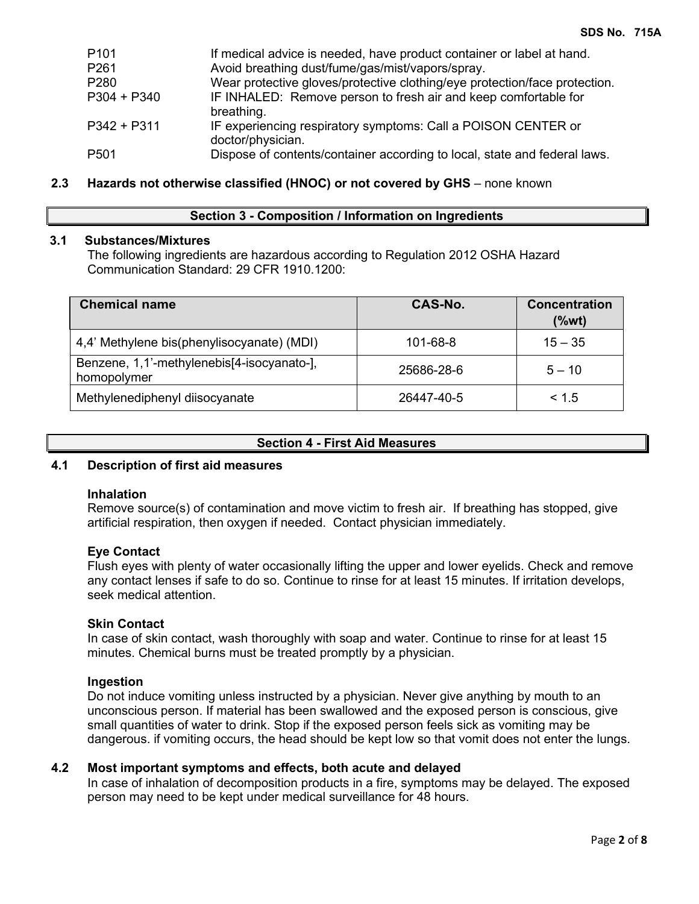| P101        | If medical advice is needed, have product container or label at hand.              |
|-------------|------------------------------------------------------------------------------------|
| P261        | Avoid breathing dust/fume/gas/mist/vapors/spray.                                   |
| P280        | Wear protective gloves/protective clothing/eye protection/face protection.         |
| P304 + P340 | IF INHALED: Remove person to fresh air and keep comfortable for<br>breathing.      |
| P342 + P311 | IF experiencing respiratory symptoms: Call a POISON CENTER or<br>doctor/physician. |
| P501        | Dispose of contents/container according to local, state and federal laws.          |

# **2.3 Hazards not otherwise classified (HNOC) or not covered by GHS** – none known

## **Section 3 - Composition / Information on Ingredients**

# **3.1 Substances/Mixtures**

The following ingredients are hazardous according to Regulation 2012 OSHA Hazard Communication Standard: 29 CFR 1910.1200:

| <b>Chemical name</b>                                      | CAS-No.    | <b>Concentration</b><br>$(\%wt)$ |
|-----------------------------------------------------------|------------|----------------------------------|
| 4,4' Methylene bis(phenylisocyanate) (MDI)                | 101-68-8   | $15 - 35$                        |
| Benzene, 1,1'-methylenebis[4-isocyanato-],<br>homopolymer | 25686-28-6 | $5 - 10$                         |
| Methylenediphenyl diisocyanate                            | 26447-40-5 | < 1.5                            |

## **Section 4 - First Aid Measures**

## **4.1 Description of first aid measures**

### **Inhalation**

Remove source(s) of contamination and move victim to fresh air. If breathing has stopped, give artificial respiration, then oxygen if needed. Contact physician immediately.

## **Eye Contact**

Flush eyes with plenty of water occasionally lifting the upper and lower eyelids. Check and remove any contact lenses if safe to do so. Continue to rinse for at least 15 minutes. If irritation develops, seek medical attention.

## **Skin Contact**

In case of skin contact, wash thoroughly with soap and water. Continue to rinse for at least 15 minutes. Chemical burns must be treated promptly by a physician.

## **Ingestion**

Do not induce vomiting unless instructed by a physician. Never give anything by mouth to an unconscious person. If material has been swallowed and the exposed person is conscious, give small quantities of water to drink. Stop if the exposed person feels sick as vomiting may be dangerous. if vomiting occurs, the head should be kept low so that vomit does not enter the lungs.

# **4.2 Most important symptoms and effects, both acute and delayed**

In case of inhalation of decomposition products in a fire, symptoms may be delayed. The exposed person may need to be kept under medical surveillance for 48 hours.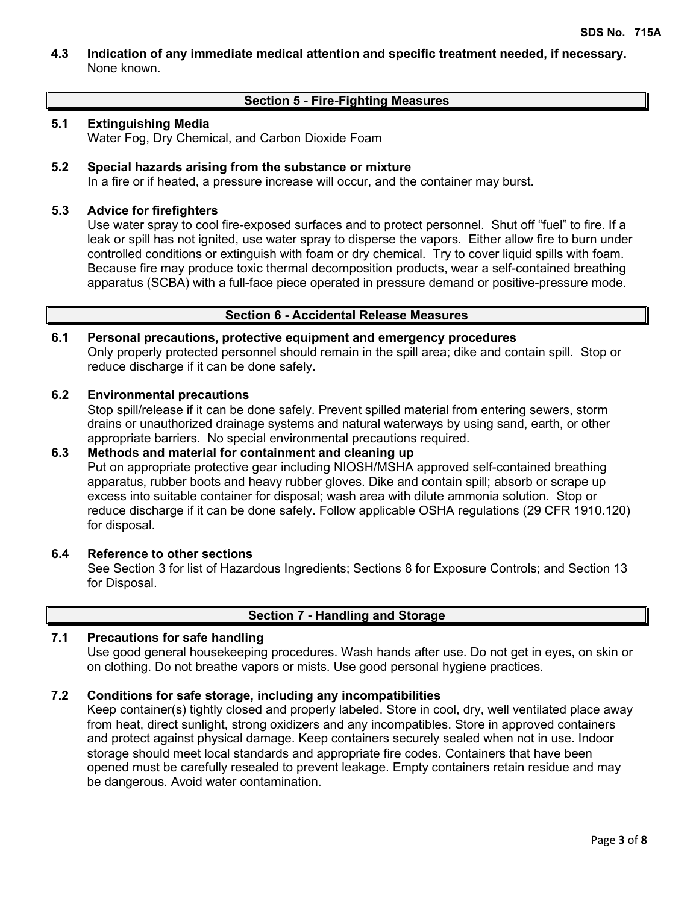**4.3 Indication of any immediate medical attention and specific treatment needed, if necessary.** None known.

# **Section 5 - Fire-Fighting Measures**

## **5.1 Extinguishing Media**

Water Fog, Dry Chemical, and Carbon Dioxide Foam

# **5.2 Special hazards arising from the substance or mixture**

In a fire or if heated, a pressure increase will occur, and the container may burst.

## **5.3 Advice for firefighters**

Use water spray to cool fire-exposed surfaces and to protect personnel. Shut off "fuel" to fire. If a leak or spill has not ignited, use water spray to disperse the vapors. Either allow fire to burn under controlled conditions or extinguish with foam or dry chemical. Try to cover liquid spills with foam. Because fire may produce toxic thermal decomposition products, wear a self-contained breathing apparatus (SCBA) with a full-face piece operated in pressure demand or positive-pressure mode.

# **Section 6 - Accidental Release Measures**

# **6.1 Personal precautions, protective equipment and emergency procedures**

Only properly protected personnel should remain in the spill area; dike and contain spill. Stop or reduce discharge if it can be done safely**.**

# **6.2 Environmental precautions**

Stop spill/release if it can be done safely. Prevent spilled material from entering sewers, storm drains or unauthorized drainage systems and natural waterways by using sand, earth, or other appropriate barriers.No special environmental precautions required.

# **6.3 Methods and material for containment and cleaning up**

Put on appropriate protective gear including NIOSH/MSHA approved self-contained breathing apparatus, rubber boots and heavy rubber gloves. Dike and contain spill; absorb or scrape up excess into suitable container for disposal; wash area with dilute ammonia solution. Stop or reduce discharge if it can be done safely**.** Follow applicable OSHA regulations (29 CFR 1910.120) for disposal.

## **6.4 Reference to other sections**

See Section 3 for list of Hazardous Ingredients; Sections 8 for Exposure Controls; and Section 13 for Disposal.

# **Section 7 - Handling and Storage**

# **7.1 Precautions for safe handling**

Use good general housekeeping procedures. Wash hands after use. Do not get in eyes, on skin or on clothing. Do not breathe vapors or mists. Use good personal hygiene practices.

# **7.2 Conditions for safe storage, including any incompatibilities**

Keep container(s) tightly closed and properly labeled. Store in cool, dry, well ventilated place away from heat, direct sunlight, strong oxidizers and any incompatibles. Store in approved containers and protect against physical damage. Keep containers securely sealed when not in use. Indoor storage should meet local standards and appropriate fire codes. Containers that have been opened must be carefully resealed to prevent leakage. Empty containers retain residue and may be dangerous. Avoid water contamination.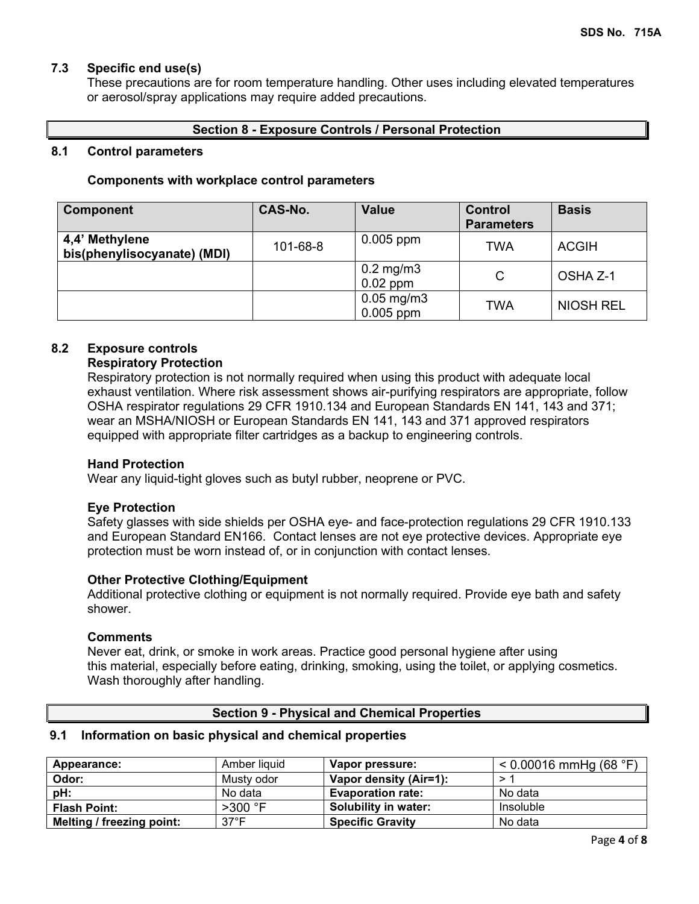# **7.3 Specific end use(s)**

These precautions are for room temperature handling. Other uses including elevated temperatures or aerosol/spray applications may require added precautions.

# **Section 8 - Exposure Controls / Personal Protection**

### **8.1 Control parameters**

### **Components with workplace control parameters**

| <b>Component</b>                              | CAS-No.  | <b>Value</b>                   | <b>Control</b><br><b>Parameters</b> | <b>Basis</b>     |
|-----------------------------------------------|----------|--------------------------------|-------------------------------------|------------------|
| 4,4' Methylene<br>bis(phenylisocyanate) (MDI) | 101-68-8 | $0.005$ ppm                    | TWA                                 | <b>ACGIH</b>     |
|                                               |          | $0.2$ mg/m $3$<br>$0.02$ ppm   | C                                   | OSHA Z-1         |
|                                               |          | $0.05$ mg/m $3$<br>$0.005$ ppm | TWA                                 | <b>NIOSH REL</b> |

## **8.2 Exposure controls**

### **Respiratory Protection**

Respiratory protection is not normally required when using this product with adequate local exhaust ventilation. Where risk assessment shows air-purifying respirators are appropriate, follow OSHA respirator regulations 29 CFR 1910.134 and European Standards EN 141, 143 and 371; wear an MSHA/NIOSH or European Standards EN 141, 143 and 371 approved respirators equipped with appropriate filter cartridges as a backup to engineering controls.

### **Hand Protection**

Wear any liquid-tight gloves such as butyl rubber, neoprene or PVC.

## **Eye Protection**

Safety glasses with side shields per OSHA eye- and face-protection regulations 29 CFR 1910.133 and European Standard EN166. Contact lenses are not eye protective devices. Appropriate eye protection must be worn instead of, or in conjunction with contact lenses.

## **Other Protective Clothing/Equipment**

Additional protective clothing or equipment is not normally required. Provide eye bath and safety shower.

### **Comments**

Never eat, drink, or smoke in work areas. Practice good personal hygiene after using this material, especially before eating, drinking, smoking, using the toilet, or applying cosmetics. Wash thoroughly after handling.

## **Section 9 - Physical and Chemical Properties**

# **9.1 Information on basic physical and chemical properties**

| Appearance:               | Amber liquid   | Vapor pressure:          | $< 0.00016$ mmHg (68 °F) |
|---------------------------|----------------|--------------------------|--------------------------|
| Odor:                     | Musty odor     | Vapor density (Air=1):   |                          |
| pH:                       | No data        | <b>Evaporation rate:</b> | No data                  |
| <b>Flash Point:</b>       | $>300$ °F      | Solubility in water:     | Insoluble                |
| Melting / freezing point: | $37^{\circ}$ F | <b>Specific Gravity</b>  | No data                  |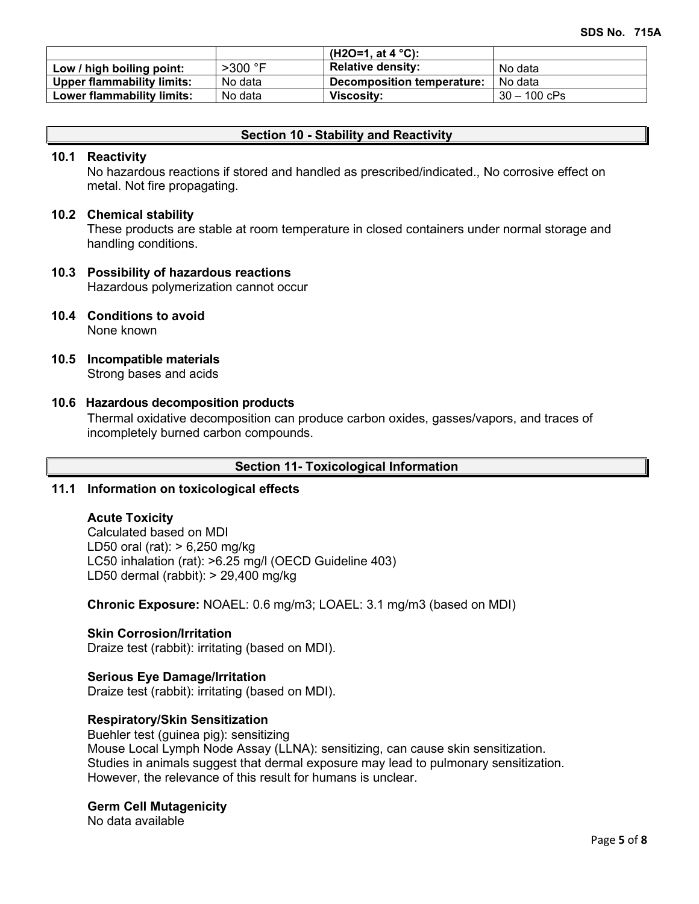|                                   |           | (H2O=1, at 4 $^{\circ}$ C): |                |
|-----------------------------------|-----------|-----------------------------|----------------|
| Low / high boiling point:         | $>300$ °F | <b>Relative density:</b>    | No data        |
| <b>Upper flammability limits:</b> | No data   | Decomposition temperature:  | No data        |
| Lower flammability limits:        | No data   | Viscosity:                  | $30 - 100$ cPs |

# **Section 10 - Stability and Reactivity**

### **10.1 Reactivity**

No hazardous reactions if stored and handled as prescribed/indicated., No corrosive effect on metal. Not fire propagating.

### **10.2 Chemical stability**

These products are stable at room temperature in closed containers under normal storage and handling conditions.

# **10.3 Possibility of hazardous reactions**

Hazardous polymerization cannot occur

## **10.4 Conditions to avoid**

None known

**10.5 Incompatible materials**

Strong bases and acids

### **10.6 Hazardous decomposition products**

Thermal oxidative decomposition can produce carbon oxides, gasses/vapors, and traces of incompletely burned carbon compounds.

### **Section 11- Toxicological Information**

## **11.1 Information on toxicological effects**

### **Acute Toxicity**

Calculated based on MDI LD50 oral (rat): > 6,250 mg/kg LC50 inhalation (rat): >6.25 mg/l (OECD Guideline 403) LD50 dermal (rabbit): > 29,400 mg/kg

**Chronic Exposure:** NOAEL: 0.6 mg/m3; LOAEL: 3.1 mg/m3 (based on MDI)

## **Skin Corrosion/Irritation**

Draize test (rabbit): irritating (based on MDI).

## **Serious Eye Damage/Irritation**

Draize test (rabbit): irritating (based on MDI).

## **Respiratory/Skin Sensitization**

Buehler test (guinea pig): sensitizing Mouse Local Lymph Node Assay (LLNA): sensitizing, can cause skin sensitization. Studies in animals suggest that dermal exposure may lead to pulmonary sensitization. However, the relevance of this result for humans is unclear.

### **Germ Cell Mutagenicity**

No data available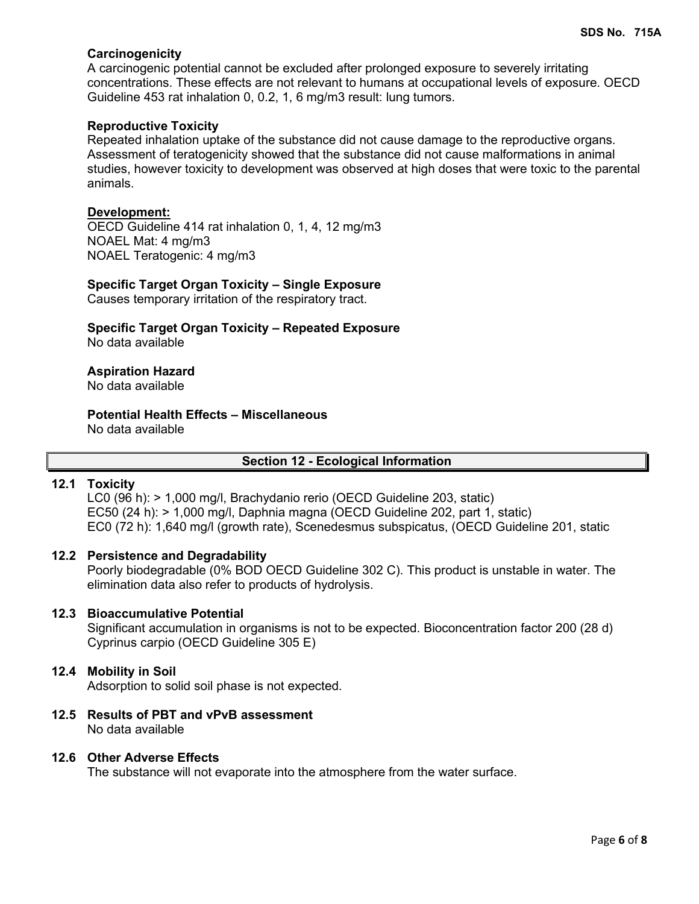# **Carcinogenicity**

A carcinogenic potential cannot be excluded after prolonged exposure to severely irritating concentrations. These effects are not relevant to humans at occupational levels of exposure. OECD Guideline 453 rat inhalation 0, 0.2, 1, 6 mg/m3 result: lung tumors.

## **Reproductive Toxicity**

Repeated inhalation uptake of the substance did not cause damage to the reproductive organs. Assessment of teratogenicity showed that the substance did not cause malformations in animal studies, however toxicity to development was observed at high doses that were toxic to the parental animals.

### **Development:**

OECD Guideline 414 rat inhalation 0, 1, 4, 12 mg/m3 NOAEL Mat: 4 mg/m3 NOAEL Teratogenic: 4 mg/m3

### **Specific Target Organ Toxicity – Single Exposure**

Causes temporary irritation of the respiratory tract.

**Specific Target Organ Toxicity – Repeated Exposure** No data available

## **Aspiration Hazard**

No data available

#### **Potential Health Effects – Miscellaneous** No data available

### **Section 12 - Ecological Information**

## **12.1 Toxicity**

LC0 (96 h): > 1,000 mg/l, Brachydanio rerio (OECD Guideline 203, static) EC50 (24 h): > 1,000 mg/l, Daphnia magna (OECD Guideline 202, part 1, static) EC0 (72 h): 1,640 mg/l (growth rate), Scenedesmus subspicatus, (OECD Guideline 201, static

### **12.2 Persistence and Degradability**

Poorly biodegradable (0% BOD OECD Guideline 302 C). This product is unstable in water. The elimination data also refer to products of hydrolysis.

### **12.3 Bioaccumulative Potential**

Significant accumulation in organisms is not to be expected. Bioconcentration factor 200 (28 d) Cyprinus carpio (OECD Guideline 305 E)

### **12.4 Mobility in Soil**

Adsorption to solid soil phase is not expected.

**12.5 Results of PBT and vPvB assessment** No data available

### **12.6 Other Adverse Effects**

The substance will not evaporate into the atmosphere from the water surface.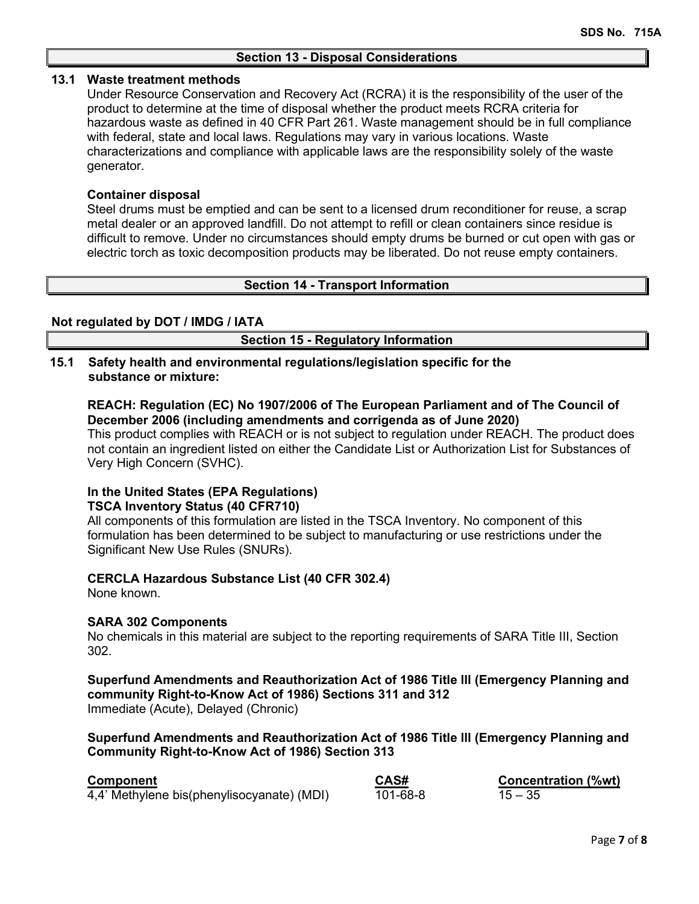### **13.1 Waste treatment methods**

Under Resource Conservation and Recovery Act (RCRA) it is the responsibility of the user of the product to determine at the time of disposal whether the product meets RCRA criteria for hazardous waste as defined in 40 CFR Part 261. Waste management should be in full compliance with federal, state and local laws. Regulations may vary in various locations. Waste characterizations and compliance with applicable laws are the responsibility solely of the waste generator.

## **Container disposal**

Steel drums must be emptied and can be sent to a licensed drum reconditioner for reuse, a scrap metal dealer or an approved landfill. Do not attempt to refill or clean containers since residue is difficult to remove. Under no circumstances should empty drums be burned or cut open with gas or electric torch as toxic decomposition products may be liberated. Do not reuse empty containers.

### **Section 14 - Transport Information**

### **Not regulated by DOT / IMDG / IATA**

**Section 15 - Regulatory Information**

### **15.1 Safety health and environmental regulations/legislation specific for the substance or mixture:**

**REACH: Regulation (EC) No 1907/2006 of The European Parliament and of The Council of December 2006 (including amendments and corrigenda as of June 2020)**

This product complies with REACH or is not subject to regulation under REACH. The product does not contain an ingredient listed on either the Candidate List or Authorization List for Substances of Very High Concern (SVHC).

# **In the United States (EPA Regulations) TSCA Inventory Status (40 CFR710)**

All components of this formulation are listed in the TSCA Inventory. No component of this formulation has been determined to be subject to manufacturing or use restrictions under the Significant New Use Rules (SNURs).

## **CERCLA Hazardous Substance List (40 CFR 302.4)**

None known.

## **SARA 302 Components**

No chemicals in this material are subject to the reporting requirements of SARA Title III, Section 302.

**Superfund Amendments and Reauthorization Act of 1986 Title lll (Emergency Planning and community Right-to-Know Act of 1986) Sections 311 and 312** Immediate (Acute), Delayed (Chronic)

### **Superfund Amendments and Reauthorization Act of 1986 Title lll (Emergency Planning and Community Right-to-Know Act of 1986) Section 313**

| <b>Component</b>                           | CAS#     | Concentration (%wt) |
|--------------------------------------------|----------|---------------------|
| 4,4' Methylene bis(phenylisocyanate) (MDI) | 101-68-8 | $15 - 35$           |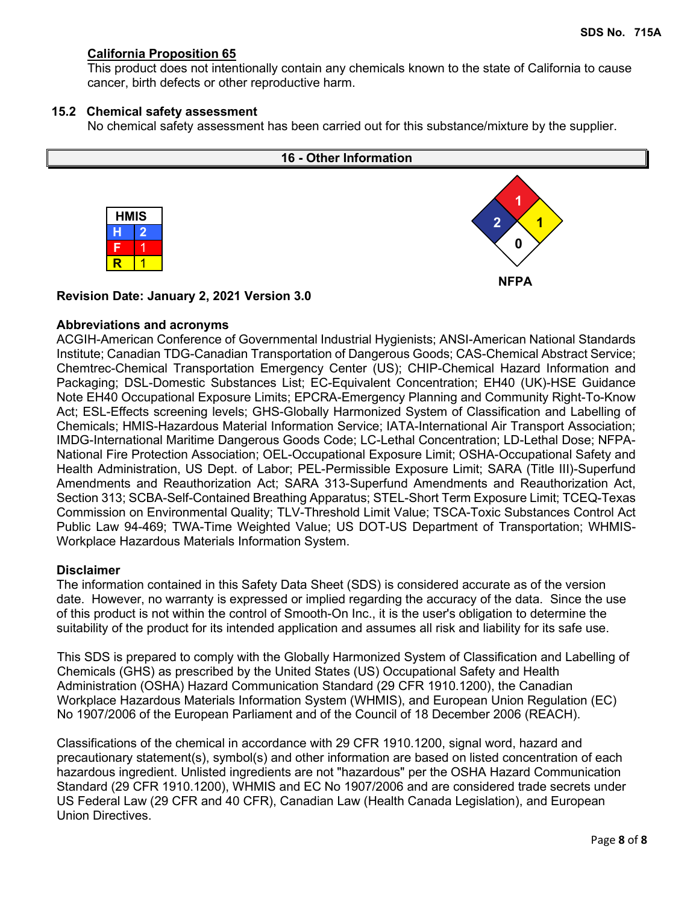# **California Proposition 65**

This product does not intentionally contain any chemicals known to the state of California to cause cancer, birth defects or other reproductive harm.

## **15.2 Chemical safety assessment**

No chemical safety assessment has been carried out for this substance/mixture by the supplier.



**Revision Date: January 2, 2021 Version 3.0**

# **Abbreviations and acronyms**

ACGIH-American Conference of Governmental Industrial Hygienists; ANSI-American National Standards Institute; Canadian TDG-Canadian Transportation of Dangerous Goods; CAS-Chemical Abstract Service; Chemtrec-Chemical Transportation Emergency Center (US); CHIP-Chemical Hazard Information and Packaging; DSL-Domestic Substances List; EC-Equivalent Concentration; EH40 (UK)-HSE Guidance Note EH40 Occupational Exposure Limits; EPCRA-Emergency Planning and Community Right-To-Know Act; ESL-Effects screening levels; GHS-Globally Harmonized System of Classification and Labelling of Chemicals; HMIS-Hazardous Material Information Service; IATA-International Air Transport Association; IMDG-International Maritime Dangerous Goods Code; LC-Lethal Concentration; LD-Lethal Dose; NFPA-National Fire Protection Association; OEL-Occupational Exposure Limit; OSHA-Occupational Safety and Health Administration, US Dept. of Labor; PEL-Permissible Exposure Limit; SARA (Title III)-Superfund Amendments and Reauthorization Act; SARA 313-Superfund Amendments and Reauthorization Act, Section 313; SCBA-Self-Contained Breathing Apparatus; STEL-Short Term Exposure Limit; TCEQ-Texas Commission on Environmental Quality; TLV-Threshold Limit Value; TSCA-Toxic Substances Control Act Public Law 94-469; TWA-Time Weighted Value; US DOT-US Department of Transportation; WHMIS-Workplace Hazardous Materials Information System.

# **Disclaimer**

The information contained in this Safety Data Sheet (SDS) is considered accurate as of the version date. However, no warranty is expressed or implied regarding the accuracy of the data. Since the use of this product is not within the control of Smooth-On Inc., it is the user's obligation to determine the suitability of the product for its intended application and assumes all risk and liability for its safe use.

This SDS is prepared to comply with the Globally Harmonized System of Classification and Labelling of Chemicals (GHS) as prescribed by the United States (US) Occupational Safety and Health Administration (OSHA) Hazard Communication Standard (29 CFR 1910.1200), the Canadian Workplace Hazardous Materials Information System (WHMIS), and European Union Regulation (EC) No 1907/2006 of the European Parliament and of the Council of 18 December 2006 (REACH).

Classifications of the chemical in accordance with 29 CFR 1910.1200, signal word, hazard and precautionary statement(s), symbol(s) and other information are based on listed concentration of each hazardous ingredient. Unlisted ingredients are not "hazardous" per the OSHA Hazard Communication Standard (29 CFR 1910.1200), WHMIS and EC No 1907/2006 and are considered trade secrets under US Federal Law (29 CFR and 40 CFR), Canadian Law (Health Canada Legislation), and European Union Directives.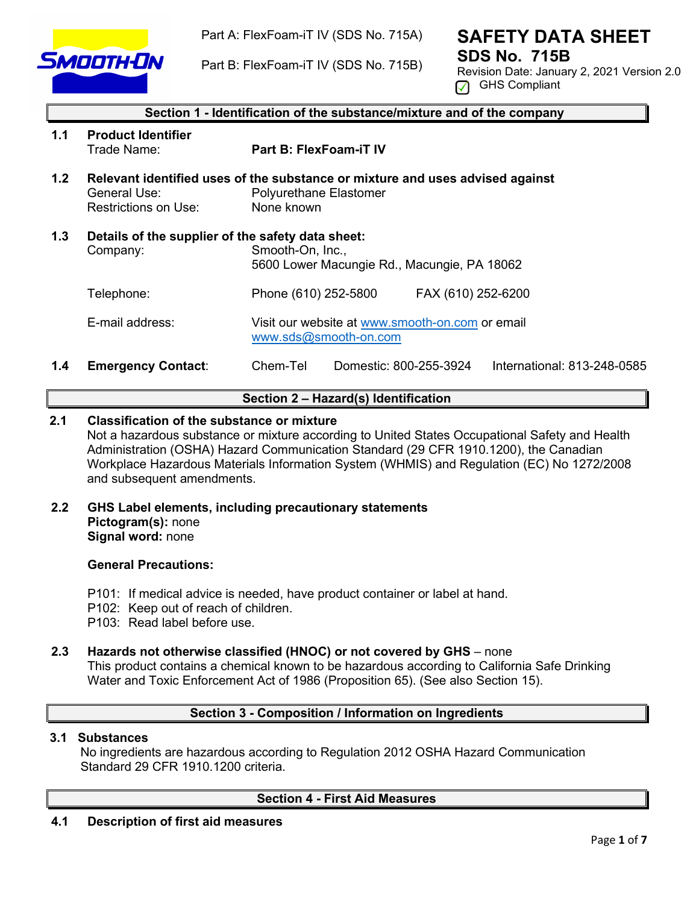

Part A: FlexFoam-iT IV (SDS No. 715A)

Part B: FlexFoam-iT IV (SDS No. 715B)

# **SAFETY DATA SHEET SDS No. 715B**

Revision Date: January 2, 2021 Version 2.0  $\sqrt{ }$  GHS Compliant

|     | Section 1 - Identification of the substance/mixture and of the company |                                                                                                                                                                                                                                                                                                                                     |  |  |
|-----|------------------------------------------------------------------------|-------------------------------------------------------------------------------------------------------------------------------------------------------------------------------------------------------------------------------------------------------------------------------------------------------------------------------------|--|--|
| 1.1 | <b>Product Identifier</b><br>Trade Name:                               | <b>Part B: FlexFoam-iT IV</b>                                                                                                                                                                                                                                                                                                       |  |  |
| 1.2 | General Use:<br><b>Restrictions on Use:</b>                            | Relevant identified uses of the substance or mixture and uses advised against<br><b>Polyurethane Elastomer</b><br>None known                                                                                                                                                                                                        |  |  |
| 1.3 | Company:                                                               | Details of the supplier of the safety data sheet:<br>Smooth-On, Inc.,<br>5600 Lower Macungie Rd., Macungie, PA 18062                                                                                                                                                                                                                |  |  |
|     | Telephone:                                                             | Phone (610) 252-5800<br>FAX (610) 252-6200                                                                                                                                                                                                                                                                                          |  |  |
|     | E-mail address:                                                        | Visit our website at www.smooth-on.com or email<br>www.sds@smooth-on.com                                                                                                                                                                                                                                                            |  |  |
|     |                                                                        | — 1 — <b>1</b><br>$\mathcal{L}$ and $\mathcal{L}$ and $\mathcal{L}$ and $\mathcal{L}$ and $\mathcal{L}$ and $\mathcal{L}$ and $\mathcal{L}$ and $\mathcal{L}$ and $\mathcal{L}$ and $\mathcal{L}$ and $\mathcal{L}$ and $\mathcal{L}$ and $\mathcal{L}$ and $\mathcal{L}$ and $\mathcal{L}$ and $\mathcal{L}$ and $\mathcal{L}$ and |  |  |

# **1.4 Emergency Contact**: Chem-Tel Domestic: 800-255-3924 International: 813-248-0585

# **Section 2 – Hazard(s) Identification**

# **2.1 Classification of the substance or mixture**

Not a hazardous substance or mixture according to United States Occupational Safety and Health Administration (OSHA) Hazard Communication Standard (29 CFR 1910.1200), the Canadian Workplace Hazardous Materials Information System (WHMIS) and Regulation (EC) No 1272/2008 and subsequent amendments.

**2.2 GHS Label elements, including precautionary statements Pictogram(s):** none **Signal word:** none

## **General Precautions:**

- P101: If medical advice is needed, have product container or label at hand.
- P102: Keep out of reach of children.
- P103: Read label before use.

# **2.3 Hazards not otherwise classified (HNOC) or not covered by GHS** – none This product contains a chemical known to be hazardous according to California Safe Drinking

Water and Toxic Enforcement Act of 1986 (Proposition 65). (See also Section 15).

# **Section 3 - Composition / Information on Ingredients**

## **3.1 Substances**

 No ingredients are hazardous according to Regulation 2012 OSHA Hazard Communication Standard 29 CFR 1910 1200 criteria

# **Section 4 - First Aid Measures**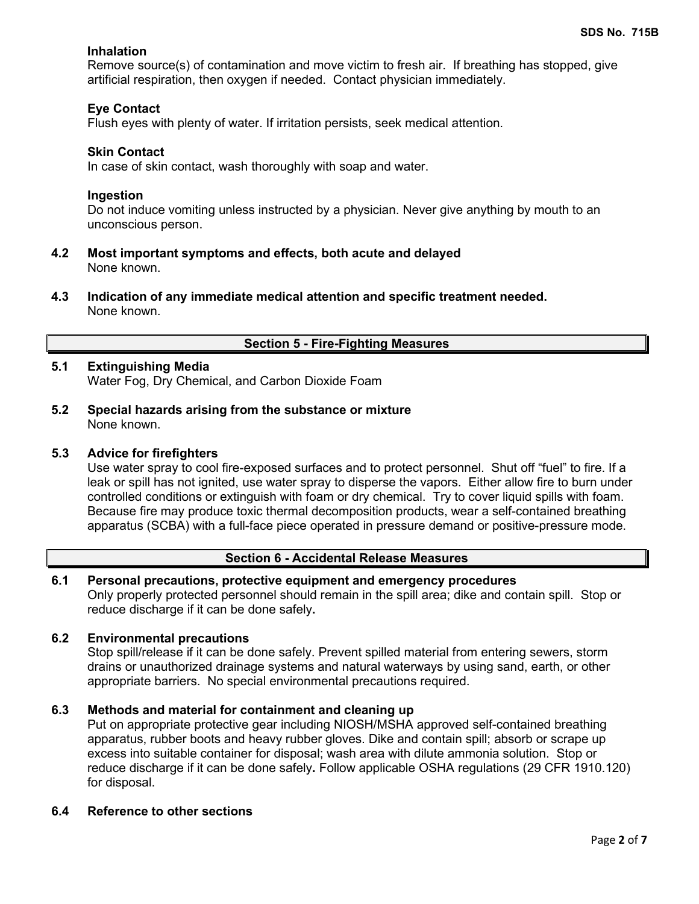# **Inhalation**

Remove source(s) of contamination and move victim to fresh air. If breathing has stopped, give artificial respiration, then oxygen if needed. Contact physician immediately.

# **Eye Contact**

Flush eyes with plenty of water. If irritation persists, seek medical attention.

### **Skin Contact**

In case of skin contact, wash thoroughly with soap and water.

### **Ingestion**

Do not induce vomiting unless instructed by a physician. Never give anything by mouth to an unconscious person.

- **4.2 Most important symptoms and effects, both acute and delayed** None known.
- **4.3 Indication of any immediate medical attention and specific treatment needed.** None known.

## **Section 5 - Fire-Fighting Measures**

# **5.1 Extinguishing Media**

Water Fog, Dry Chemical, and Carbon Dioxide Foam

**5.2 Special hazards arising from the substance or mixture** None known.

### **5.3 Advice for firefighters**

Use water spray to cool fire-exposed surfaces and to protect personnel. Shut off "fuel" to fire. If a leak or spill has not ignited, use water spray to disperse the vapors. Either allow fire to burn under controlled conditions or extinguish with foam or dry chemical. Try to cover liquid spills with foam. Because fire may produce toxic thermal decomposition products, wear a self-contained breathing apparatus (SCBA) with a full-face piece operated in pressure demand or positive-pressure mode.

## **Section 6 - Accidental Release Measures**

## **6.1 Personal precautions, protective equipment and emergency procedures**

Only properly protected personnel should remain in the spill area; dike and contain spill. Stop or reduce discharge if it can be done safely**.**

## **6.2 Environmental precautions**

Stop spill/release if it can be done safely. Prevent spilled material from entering sewers, storm drains or unauthorized drainage systems and natural waterways by using sand, earth, or other appropriate barriers.No special environmental precautions required.

# **6.3 Methods and material for containment and cleaning up**

Put on appropriate protective gear including NIOSH/MSHA approved self-contained breathing apparatus, rubber boots and heavy rubber gloves. Dike and contain spill; absorb or scrape up excess into suitable container for disposal; wash area with dilute ammonia solution. Stop or reduce discharge if it can be done safely**.** Follow applicable OSHA regulations (29 CFR 1910.120) for disposal.

### **6.4 Reference to other sections**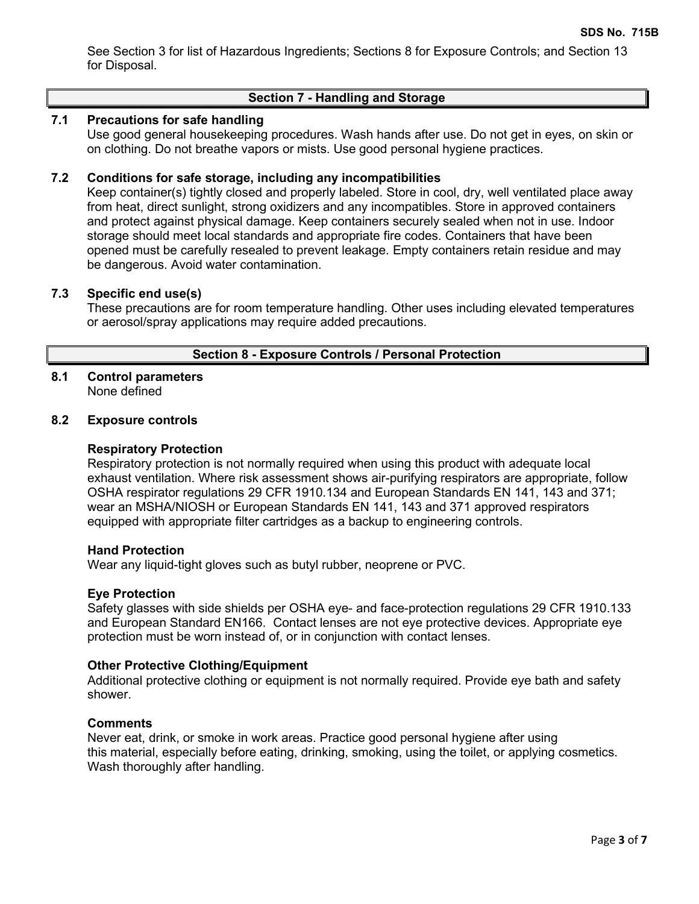See Section 3 for list of Hazardous Ingredients; Sections 8 for Exposure Controls; and Section 13 for Disposal.

# **Section 7 - Handling and Storage**

# **7.1 Precautions for safe handling**

Use good general housekeeping procedures. Wash hands after use. Do not get in eyes, on skin or on clothing. Do not breathe vapors or mists. Use good personal hygiene practices.

### **7.2 Conditions for safe storage, including any incompatibilities**

Keep container(s) tightly closed and properly labeled. Store in cool, dry, well ventilated place away from heat, direct sunlight, strong oxidizers and any incompatibles. Store in approved containers and protect against physical damage. Keep containers securely sealed when not in use. Indoor storage should meet local standards and appropriate fire codes. Containers that have been opened must be carefully resealed to prevent leakage. Empty containers retain residue and may be dangerous. Avoid water contamination.

### **7.3 Specific end use(s)**

These precautions are for room temperature handling. Other uses including elevated temperatures or aerosol/spray applications may require added precautions.

### **Section 8 - Exposure Controls / Personal Protection**

# **8.1 Control parameters**

None defined

# **8.2 Exposure controls**

### **Respiratory Protection**

Respiratory protection is not normally required when using this product with adequate local exhaust ventilation. Where risk assessment shows air-purifying respirators are appropriate, follow OSHA respirator regulations 29 CFR 1910.134 and European Standards EN 141, 143 and 371; wear an MSHA/NIOSH or European Standards EN 141, 143 and 371 approved respirators equipped with appropriate filter cartridges as a backup to engineering controls.

### **Hand Protection**

Wear any liquid-tight gloves such as butyl rubber, neoprene or PVC.

### **Eye Protection**

Safety glasses with side shields per OSHA eye- and face-protection regulations 29 CFR 1910.133 and European Standard EN166. Contact lenses are not eye protective devices. Appropriate eye protection must be worn instead of, or in conjunction with contact lenses.

### **Other Protective Clothing/Equipment**

Additional protective clothing or equipment is not normally required. Provide eye bath and safety shower.

### **Comments**

Never eat, drink, or smoke in work areas. Practice good personal hygiene after using this material, especially before eating, drinking, smoking, using the toilet, or applying cosmetics. Wash thoroughly after handling.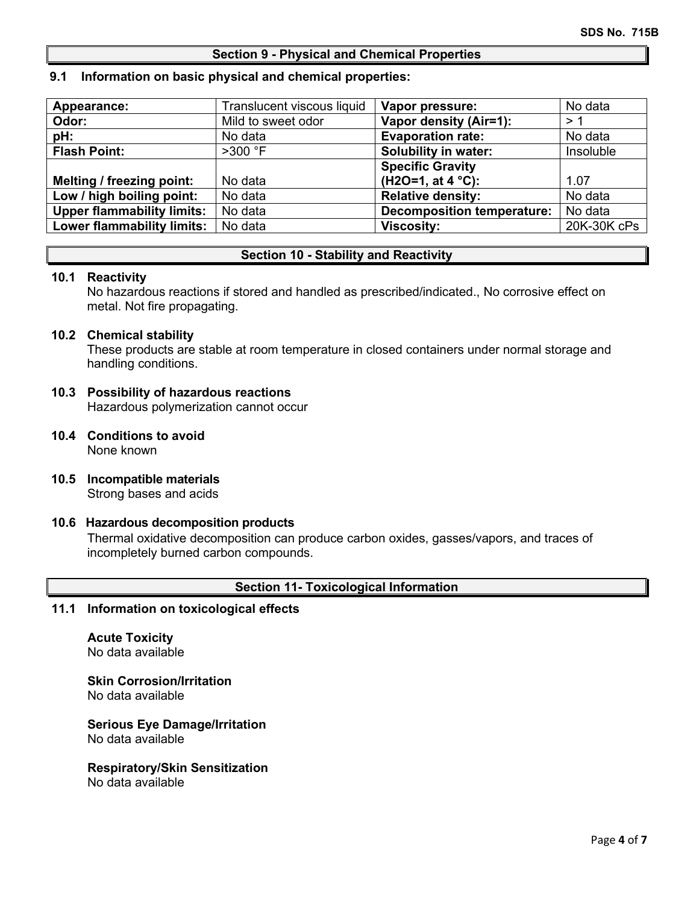### **Section 9 - Physical and Chemical Properties**

### **9.1 Information on basic physical and chemical properties:**

| Appearance:                       | Translucent viscous liquid | Vapor pressure:                   | No data     |
|-----------------------------------|----------------------------|-----------------------------------|-------------|
| Odor:                             | Mild to sweet odor         | Vapor density (Air=1):            | >1          |
| pH:                               | No data                    | <b>Evaporation rate:</b>          | No data     |
| <b>Flash Point:</b>               | $>300$ °F                  | Solubility in water:              | Insoluble   |
|                                   |                            | <b>Specific Gravity</b>           |             |
| <b>Melting / freezing point:</b>  | No data                    | (H2O=1, at $4 °C$ ):              | 1.07        |
| Low / high boiling point:         | No data                    | <b>Relative density:</b>          | No data     |
| <b>Upper flammability limits:</b> | No data                    | <b>Decomposition temperature:</b> | No data     |
| <b>Lower flammability limits:</b> | No data                    | <b>Viscosity:</b>                 | 20K-30K cPs |

# **Section 10 - Stability and Reactivity**

### **10.1 Reactivity**

No hazardous reactions if stored and handled as prescribed/indicated., No corrosive effect on metal. Not fire propagating.

### **10.2 Chemical stability**

These products are stable at room temperature in closed containers under normal storage and handling conditions.

### **10.3 Possibility of hazardous reactions** Hazardous polymerization cannot occur

- **10.4 Conditions to avoid** None known
- **10.5 Incompatible materials** Strong bases and acids

## **10.6 Hazardous decomposition products**

Thermal oxidative decomposition can produce carbon oxides, gasses/vapors, and traces of incompletely burned carbon compounds.

## **Section 11- Toxicological Information**

### **11.1 Information on toxicological effects**

**Acute Toxicity** No data available

**Skin Corrosion/Irritation**

No data available

**Serious Eye Damage/Irritation** No data available

### **Respiratory/Skin Sensitization**

No data available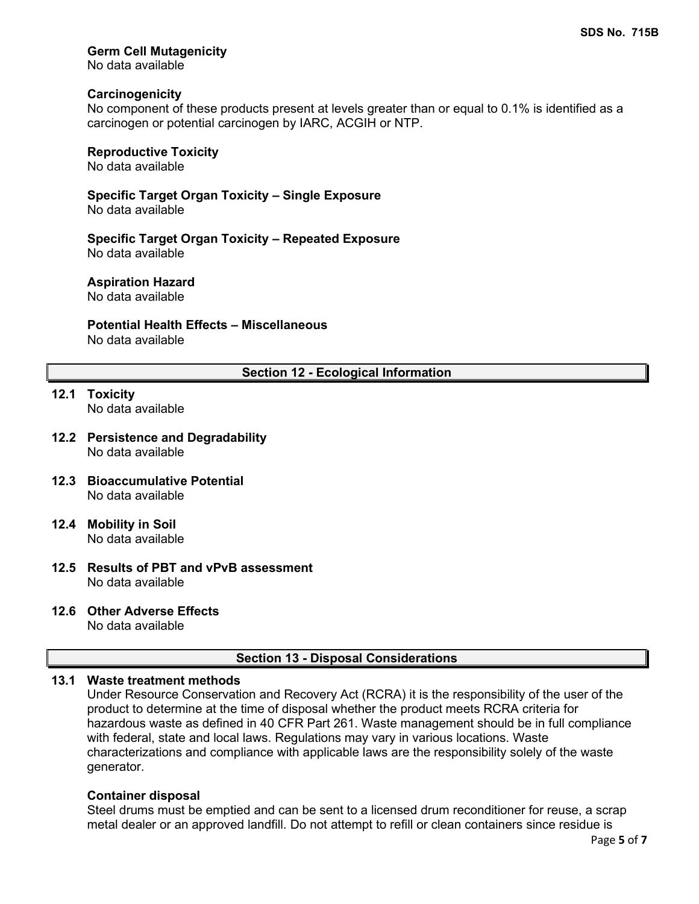# **Germ Cell Mutagenicity**

No data available

### **Carcinogenicity**

No component of these products present at levels greater than or equal to 0.1% is identified as a carcinogen or potential carcinogen by IARC, ACGIH or NTP.

# **Reproductive Toxicity**

No data available

**Specific Target Organ Toxicity – Single Exposure** No data available

**Specific Target Organ Toxicity – Repeated Exposure** No data available

### **Aspiration Hazard**

No data available

# **Potential Health Effects – Miscellaneous**

No data available

# **Section 12 - Ecological Information**

- **12.1 Toxicity** No data available
- **12.2 Persistence and Degradability** No data available
- **12.3 Bioaccumulative Potential** No data available
- **12.4 Mobility in Soil** No data available
- **12.5 Results of PBT and vPvB assessment** No data available

# **12.6 Other Adverse Effects**

No data available

## **Section 13 - Disposal Considerations**

# **13.1 Waste treatment methods**

Under Resource Conservation and Recovery Act (RCRA) it is the responsibility of the user of the product to determine at the time of disposal whether the product meets RCRA criteria for hazardous waste as defined in 40 CFR Part 261. Waste management should be in full compliance with federal, state and local laws. Regulations may vary in various locations. Waste characterizations and compliance with applicable laws are the responsibility solely of the waste generator.

### **Container disposal**

Steel drums must be emptied and can be sent to a licensed drum reconditioner for reuse, a scrap metal dealer or an approved landfill. Do not attempt to refill or clean containers since residue is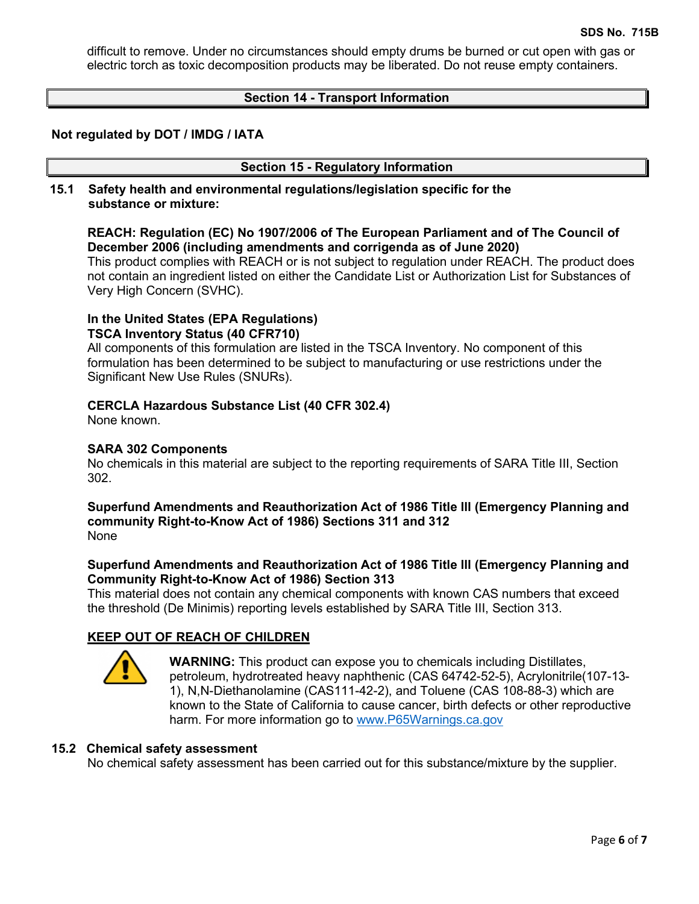difficult to remove. Under no circumstances should empty drums be burned or cut open with gas or electric torch as toxic decomposition products may be liberated. Do not reuse empty containers.

## **Section 14 - Transport Information**

### **Not regulated by DOT / IMDG / IATA**

### **Section 15 - Regulatory Information**

**15.1 Safety health and environmental regulations/legislation specific for the substance or mixture:**

# **REACH: Regulation (EC) No 1907/2006 of The European Parliament and of The Council of December 2006 (including amendments and corrigenda as of June 2020)**

This product complies with REACH or is not subject to regulation under REACH. The product does not contain an ingredient listed on either the Candidate List or Authorization List for Substances of Very High Concern (SVHC).

# **In the United States (EPA Regulations)**

**TSCA Inventory Status (40 CFR710)**

All components of this formulation are listed in the TSCA Inventory. No component of this formulation has been determined to be subject to manufacturing or use restrictions under the Significant New Use Rules (SNURs).

## **CERCLA Hazardous Substance List (40 CFR 302.4)**

None known.

### **SARA 302 Components**

No chemicals in this material are subject to the reporting requirements of SARA Title III, Section 302.

### **Superfund Amendments and Reauthorization Act of 1986 Title lll (Emergency Planning and community Right-to-Know Act of 1986) Sections 311 and 312** None

## **Superfund Amendments and Reauthorization Act of 1986 Title lll (Emergency Planning and Community Right-to-Know Act of 1986) Section 313**

This material does not contain any chemical components with known CAS numbers that exceed the threshold (De Minimis) reporting levels established by SARA Title III, Section 313.

## **KEEP OUT OF REACH OF CHILDREN**



**WARNING:** This product can expose you to chemicals including Distillates, petroleum, hydrotreated heavy naphthenic (CAS 64742-52-5), Acrylonitrile(107-13- 1), N,N-Diethanolamine (CAS111-42-2), and Toluene (CAS 108-88-3) which are known to the State of California to cause cancer, birth defects or other reproductive harm. For more information go to [www.P65Warnings.ca.gov](http://www.p65warnings.ca.gov/)

### **15.2 Chemical safety assessment**

No chemical safety assessment has been carried out for this substance/mixture by the supplier.